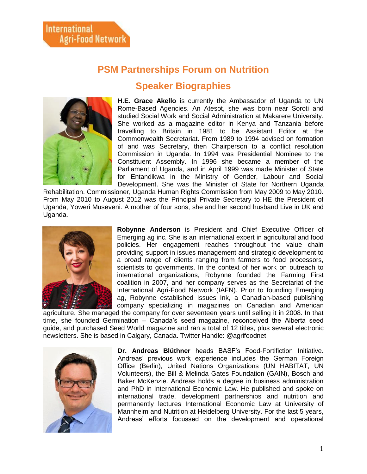## **PSM Partnerships Forum on Nutrition**

## **Speaker Biographies**



**H.E. Grace Akello** is currently the Ambassador of Uganda to UN Rome-Based Agencies. An Atesot, she was born near Soroti and studied Social Work and Social Administration at Makarere University. She worked as a magazine editor in Kenya and Tanzania before travelling to Britain in 1981 to be Assistant Editor at the Commonwealth Secretariat. From 1989 to 1994 advised on formation of and was Secretary, then Chairperson to a conflict resolution Commission in Uganda. In 1994 was Presidential Nominee to the Constituent Assembly. In 1996 she became a member of the Parliament of Uganda, and in April 1999 was made Minister of State for Entandikwa in the Ministry of Gender, Labour and Social Development. She was the Minister of State for Northern Uganda

Rehabilitation. Commissioner, Uganda Human Rights Commission from May 2009 to May 2010. From May 2010 to August 2012 was the Principal Private Secretary to HE the President of Uganda, Yoweri Museveni. A mother of four sons, she and her second husband Live in UK and Uganda.



**Robynne Anderson** is President and Chief Executive Officer of Emerging ag inc. She is an international expert in agricultural and food policies. Her engagement reaches throughout the value chain providing support in issues management and strategic development to a broad range of clients ranging from farmers to food processors, scientists to governments. In the context of her work on outreach to international organizations, Robynne founded the Farming First coalition in 2007, and her company serves as the Secretariat of the International Agri-Food Network (IAFN). Prior to founding Emerging ag, Robynne established Issues Ink, a Canadian-based publishing company specializing in magazines on Canadian and American

agriculture. She managed the company for over seventeen years until selling it in 2008. In that time, she founded Germination – Canada's seed magazine, reconceived the Alberta seed guide, and purchased Seed World magazine and ran a total of 12 titles, plus several electronic newsletters. She is based in Calgary, Canada. Twitter Handle: @agrifoodnet



**Dr. Andreas Blüthner** heads BASF's Food-Fortifiction Initiative. Andreas' previous work experience includes the German Foreign Office (Berlin), United Nations Organizations (UN HABITAT, UN Volunteers), the Bill & Melinda Gates Foundation (GAIN), Bosch and Baker McKenzie. Andreas holds a degree in business administration and PhD in International Economic Law. He published and spoke on international trade, development partnerships and nutrition and permanently lectures International Economic Law at University of Mannheim and Nutrition at Heidelberg University. For the last 5 years, Andreas' efforts focussed on the development and operational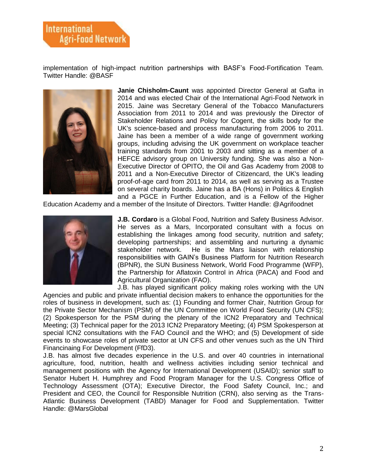implementation of high-impact nutrition partnerships with BASF's Food-Fortification Team. Twitter Handle: @BASF



**Janie Chisholm-Caunt** was appointed Director General at Gafta in 2014 and was elected Chair of the International Agri-Food Network in 2015. Jaine was Secretary General of the Tobacco Manufacturers Association from 2011 to 2014 and was previously the Director of Stakeholder Relations and Policy for Cogent, the skills body for the UK's science-based and process manufacturing from 2006 to 2011. Jaine has been a member of a wide range of government working groups, including advising the UK government on workplace teacher training standards from 2001 to 2003 and sitting as a member of a HEFCE advisory group on University funding. She was also a Non-Executive Director of OPITO, the Oil and Gas Academy from 2008 to 2011 and a Non-Executive Director of Citizencard, the UK's leading proof-of-age card from 2011 to 2014, as well as serving as a Trustee on several charity boards. Jaine has a BA (Hons) in Politics & English and a PGCE in Further Education, and is a Fellow of the Higher

Education Academy and a member of the Insitute of Directors. Twitter Handle: @Agrifoodnet



**J.B. Cordaro** is a Global Food, Nutrition and Safety Business Advisor. He serves as a Mars, Incorporated consultant with a focus on establishing the linkages among food security, nutrition and safety; developing partnerships; and assembling and nurturing a dynamic stakeholder network. He is the Mars liaison with relationship responsibilities with GAIN's Business Platform for Nutrition Research (BPNR), the SUN Business Network, World Food Programme (WFP), the Partnership for Aflatoxin Control in Africa (PACA) and Food and Agricultural Organization (FAO).

J.B. has played significant policy making roles working with the UN Agencies and public and private influential decision makers to enhance the opportunities for the roles of business in development, such as: (1) Founding and former Chair, Nutrition Group for the Private Sector Mechanism (PSM) of the UN Committee on World Food Security (UN CFS); (2) Spokesperson for the PSM during the plenary of the ICN2 Preparatory and Technical Meeting; (3) Technical paper for the 2013 ICN2 Preparatory Meeting; (4) PSM Spokesperson at special ICN2 consultations with the FAO Council and the WHO; and (5) Development of side events to showcase roles of private sector at UN CFS and other venues such as the UN Third Financinaing For Development (FfD3).

J.B. has almost five decades experience in the U.S. and over 40 countries in international agriculture, food, nutrition, health and wellness activities including senior technical and management positions with the Agency for International Development (USAID); senior staff to Senator Hubert H. Humphrey and Food Program Manager for the U.S. Congress Office of Technology Assessment (OTA); Executive Director, the Food Safety Council, Inc.; and President and CEO, the Council for Responsible Nutrition (CRN), also serving as the Trans-Atlantic Business Development (TABD) Manager for Food and Supplementation. Twitter Handle: @MarsGlobal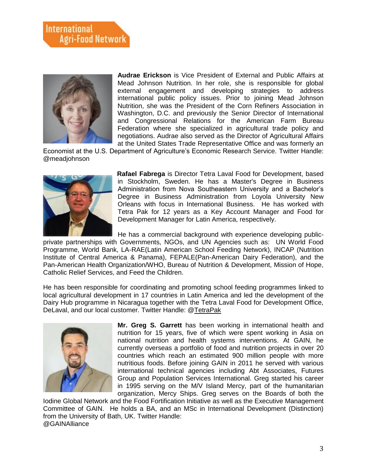

**Audrae Erickson** is Vice President of External and Public Affairs at Mead Johnson Nutrition. In her role, she is responsible for global external engagement and developing strategies to address international public policy issues. Prior to joining Mead Johnson Nutrition, she was the President of the Corn Refiners Association in Washington, D.C. and previously the Senior Director of International and Congressional Relations for the American Farm Bureau Federation where she specialized in agricultural trade policy and negotiations. Audrae also served as the Director of Agricultural Affairs at the United States Trade Representative Office and was formerly an

Economist at the U.S. Department of Agriculture's Economic Research Service. Twitter Handle: @meadjohnson



**Rafael Fabrega** is Director Tetra Laval Food for Development, based in Stockholm, Sweden. He has a Master's Degree in Business Administration from Nova Southeastern University and a Bachelor's Degree in Business Administration from Loyola University New Orleans with focus in International Business. He has worked with Tetra Pak for 12 years as a Key Account Manager and Food for Development Manager for Latin America, respectively.

He has a commercial background with experience developing publicprivate partnerships with Governments, NGOs, and UN Agencies such as: UN World Food Programme, World Bank, LA-RAE(Latin American School Feeding Network), INCAP (Nutrition Institute of Central America & Panama), FEPALE(Pan-American Dairy Federation), and the Pan-American Health Organization/WHO, Bureau of Nutrition & Development, Mission of Hope, Catholic Relief Services, and Feed the Children.

He has been responsible for coordinating and promoting school feeding programmes linked to local agricultural development in 17 countries in Latin America and led the development of the Dairy Hub programme in Nicaragua together with the Tetra Laval Food for Development Office, DeLaval, and our local customer. Twitter Handle: @TetraPak



**Mr. Greg S. Garrett** has been working in international health and nutrition for 15 years, five of which were spent working in Asia on national nutrition and health systems interventions. At GAIN, he currently overseas a portfolio of food and nutrition projects in over 20 countries which reach an estimated 900 million people with more nutritious foods. Before joining GAIN in 2011 he served with various international technical agencies including Abt Associates, Futures Group and Population Services International. Greg started his career in 1995 serving on the M/V Island Mercy, part of the humanitarian organization, Mercy Ships. Greg serves on the Boards of both the

Iodine Global Network and the Food Fortification Initiative as well as the Executive Management Committee of GAIN. He holds a BA, and an MSc in International Development (Distinction) from the University of Bath, UK. Twitter Handle: @GAINAlliance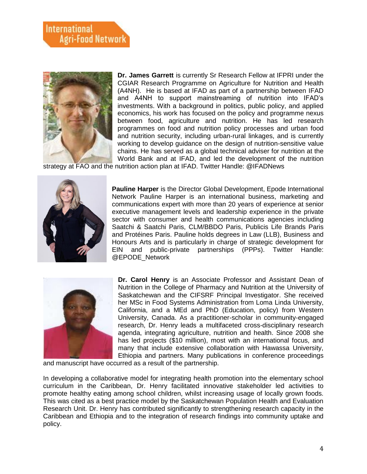## **International Agri-Food Network**



**Dr. James Garrett** is currently Sr Research Fellow at IFPRI under the CGIAR Research Programme on Agriculture for Nutrition and Health (A4NH). He is based at IFAD as part of a partnership between IFAD and A4NH to support mainstreaming of nutrition into IFAD's investments. With a background in politics, public policy, and applied economics, his work has focused on the policy and programme nexus between food, agriculture and nutrition. He has led research programmes on food and nutrition policy processes and urban food and nutrition security, including urban-rural linkages, and is currently working to develop guidance on the design of nutrition-sensitive value chains. He has served as a global technical adviser for nutrition at the World Bank and at IFAD, and led the development of the nutrition

strategy at FAO and the nutrition action plan at IFAD. Twitter Handle: @IFADNews



**Pauline Harper** is the Director Global Development, Epode International Network Pauline Harper is an international business, marketing and communications expert with more than 20 years of experience at senior executive management levels and leadership experience in the private sector with consumer and health communications agencies including Saatchi & Saatchi Paris, CLM/BBDO Paris, Publicis Life Brands Paris and Protéines Paris. Pauline holds degrees in Law (LLB), Business and Honours Arts and is particularly in charge of strategic development for EIN and public-private partnerships (PPPs). Twitter Handle: @EPODE\_Network



**Dr. Carol Henry** is an Associate Professor and Assistant Dean of Nutrition in the College of Pharmacy and Nutrition at the University of Saskatchewan and the CIFSRF Principal Investigator. She received her MSc in Food Systems Administration from Loma Linda University, California, and a MEd and PhD (Education, policy) from Western University, Canada. As a practitioner-scholar in community-engaged research, Dr. Henry leads a multifaceted cross-disciplinary research agenda, integrating agriculture, nutrition and health. Since 2008 she has led projects (\$10 million), most with an international focus, and many that include extensive collaboration with Hawassa University, Ethiopia and partners. Many publications in conference proceedings

and manuscript have occurred as a result of the partnership.

In developing a collaborative model for integrating health promotion into the elementary school curriculum in the Caribbean, Dr. Henry facilitated innovative stakeholder led activities to promote healthy eating among school children, whilst increasing usage of locally grown foods. This was cited as a best practice model by the Saskatchewan Population Health and Evaluation Research Unit. Dr. Henry has contributed significantly to strengthening research capacity in the Caribbean and Ethiopia and to the integration of research findings into community uptake and policy.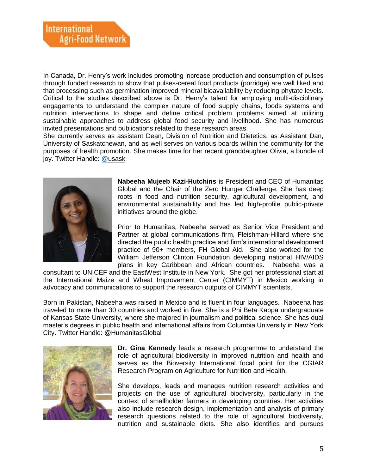In Canada, Dr. Henry's work includes promoting increase production and consumption of pulses through funded research to show that pulses-cereal food products (porridge) are well liked and that processing such as germination improved mineral bioavailability by reducing phytate levels. Critical to the studies described above is Dr. Henry's talent for employing multi-disciplinary engagements to understand the complex nature of food supply chains, foods systems and nutrition interventions to shape and define critical problem problems aimed at utilizing sustainable approaches to address global food security and livelihood. She has numerous invited presentations and publications related to these research areas.

She currently serves as assistant Dean, Division of Nutrition and Dietetics, as Assistant Dan, University of Saskatchewan, and as well serves on various boards within the community for the purposes of health promotion. She makes time for her recent granddaughter Olivia, a bundle of joy. Twitter Handle: [@usask](https://twitter.com/usask)



**Nabeeha Mujeeb Kazi-Hutchins** is President and CEO of Humanitas Global and the Chair of the Zero Hunger Challenge. She has deep roots in food and nutrition security, agricultural development, and environmental sustainability and has led high-profile public-private initiatives around the globe.

Prior to Humanitas, Nabeeha served as Senior Vice President and Partner at global communications firm, Fleishman-Hillard where she directed the public health practice and firm's international development practice of 90+ members, FH Global Aid. She also worked for the William Jefferson Clinton Foundation developing national HIV/AIDS plans in key Caribbean and African countries. Nabeeha was a

consultant to UNICEF and the EastWest Institute in New York. She got her professional start at the International Maize and Wheat Improvement Center (CIMMYT) in Mexico working in advocacy and communications to support the research outputs of CIMMYT scientists.

Born in Pakistan, Nabeeha was raised in Mexico and is fluent in four languages. Nabeeha has traveled to more than 30 countries and worked in five. She is a Phi Beta Kappa undergraduate of Kansas State University, where she majored in journalism and political science. She has dual master's degrees in public health and international affairs from Columbia University in New York City. Twitter Handle: @HumanitasGlobal



**Dr. Gina Kennedy** leads a research programme to understand the role of agricultural biodiversity in improved nutrition and health and serves as the Bioversity International focal point for the CGIAR Research Program on Agriculture for Nutrition and Health.

She develops, leads and manages nutrition research activities and projects on the use of agricultural biodiversity, particularly in the context of smallholder farmers in developing countries. Her activities also include research design, implementation and analysis of primary research questions related to the role of agricultural biodiversity, nutrition and sustainable diets. She also identifies and pursues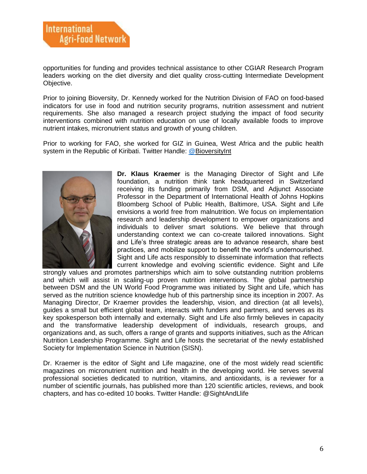opportunities for funding and provides technical assistance to other CGIAR Research Program leaders working on the diet diversity and diet quality cross-cutting Intermediate Development Objective.

Prior to joining Bioversity, Dr. Kennedy worked for the Nutrition Division of FAO on food-based indicators for use in food and nutrition security programs, nutrition assessment and nutrient requirements. She also managed a research project studying the impact of food security interventions combined with nutrition education on use of locally available foods to improve nutrient intakes, micronutrient status and growth of young children.

Prior to working for FAO, she worked for GIZ in Guinea, West Africa and the public health system in the Republic of Kiribati. Twitter Handle: [@BioversityInt](https://twitter.com/BioversityInt)



**Dr. Klaus Kraemer** is the Managing Director of Sight and Life foundation, a nutrition think tank headquartered in Switzerland receiving its funding primarily from DSM, and Adjunct Associate Professor in the Department of International Health of Johns Hopkins Bloomberg School of Public Health, Baltimore, USA. Sight and Life envisions a world free from malnutrition. We focus on implementation research and leadership development to empower organizations and individuals to deliver smart solutions. We believe that through understanding context we can co-create tailored innovations. Sight and Life's three strategic areas are to advance research, share best practices, and mobilize support to benefit the world's undernourished. Sight and Life acts responsibly to disseminate information that reflects current knowledge and evolving scientific evidence. Sight and Life

strongly values and promotes partnerships which aim to solve outstanding nutrition problems and which will assist in scaling-up proven nutrition interventions. The global partnership between DSM and the UN World Food Programme was initiated by Sight and Life, which has served as the nutrition science knowledge hub of this partnership since its inception in 2007. As Managing Director, Dr Kraemer provides the leadership, vision, and direction (at all levels), guides a small but efficient global team, interacts with funders and partners, and serves as its key spokesperson both internally and externally. Sight and Life also firmly believes in capacity and the transformative leadership development of individuals, research groups, and organizations and, as such, offers a range of grants and supports initiatives, such as the African Nutrition Leadership Programme. Sight and Life hosts the secretariat of the newly established Society for Implementation Science in Nutrition (SISN).

Dr. Kraemer is the editor of Sight and Life magazine, one of the most widely read scientific magazines on micronutrient nutrition and health in the developing world. He serves several professional societies dedicated to nutrition, vitamins, and antioxidants, is a reviewer for a number of scientific journals, has published more than 120 scientific articles, reviews, and book chapters, and has co-edited 10 books. Twitter Handle: @SightAndLlife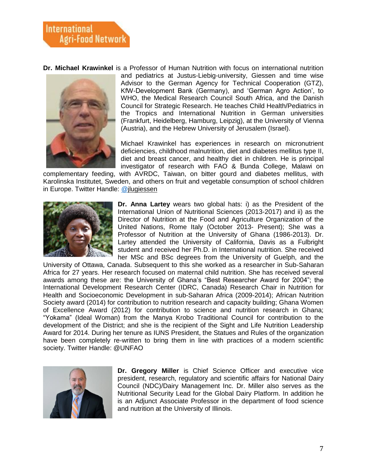**Dr. Michael Krawinkel** is a Professor of Human Nutrition with focus on international nutrition



and pediatrics at Justus-Liebig-university, Giessen and time wise Advisor to the German Agency for Technical Cooperation (GTZ), KfW-Development Bank (Germany), and 'German Agro Action', to WHO, the Medical Research Council South Africa, and the Danish Council for Strategic Research. He teaches Child Health/Pediatrics in the Tropics and International Nutrition in German universities (Frankfurt, Heidelberg, Hamburg, Leipzig), at the University of Vienna (Austria), and the Hebrew University of Jerusalem (Israel).

Michael Krawinkel has experiences in research on micronutrient deficiencies, childhood malnutrition, diet and diabetes mellitus type II, diet and breast cancer, and healthy diet in children. He is principal investigator of research with FAO & Bunda College, Malawi on

complementary feeding, with AVRDC, Taiwan, on bitter gourd and diabetes mellitus, with Karolinska Institutet, Sweden, and others on fruit and vegetable consumption of school children in Europe. Twitter Handle: [@jlugiessen](https://twitter.com/jlugiessen)



**Dr. Anna Lartey** wears two global hats: i) as the President of the International Union of Nutritional Sciences (2013-2017) and ii) as the Director of Nutrition at the Food and Agriculture Organization of the United Nations, Rome Italy (October 2013- Present); She was a Professor of Nutrition at the University of Ghana (1986-2013). Dr. Lartey attended the University of California, Davis as a Fulbright student and received her Ph.D. in International nutrition. She received her MSc and BSc degrees from the University of Guelph, and the

University of Ottawa, Canada. Subsequent to this she worked as a researcher in Sub-Saharan Africa for 27 years. Her research focused on maternal child nutrition. She has received several awards among these are: the University of Ghana's "Best Researcher Award for 2004"; the International Development Research Center (IDRC, Canada) Research Chair in Nutrition for Health and Socioeconomic Development in sub-Saharan Africa (2009-2014); African Nutrition Society award (2014) for contribution to nutrition research and capacity building; Ghana Women of Excellence Award (2012) for contribution to science and nutrition research in Ghana; "Yokama" (Ideal Woman) from the Manya Krobo Traditional Council for contribution to the development of the District; and she is the recipient of the Sight and Life Nutrition Leadership Award for 2014. During her tenure as IUNS President, the Statues and Rules of the organization have been completely re-written to bring them in line with practices of a modern scientific society. Twitter Handle: @UNFAO



**Dr. Gregory Miller** is Chief Science Officer and executive vice president, research, regulatory and scientific affairs for National Dairy Council (NDC)/Dairy Management Inc. Dr. Miller also serves as the Nutritional Security Lead for the Global Dairy Platform. In addition he is an Adjunct Associate Professor in the department of food science and nutrition at the University of Illinois.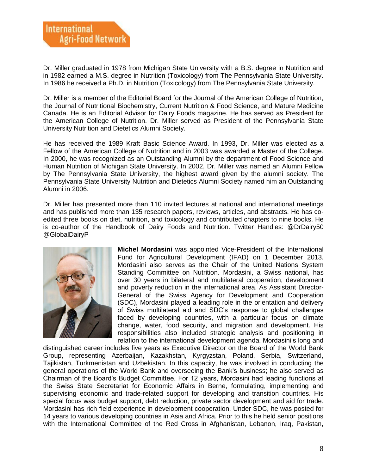

Dr. Miller graduated in 1978 from Michigan State University with a B.S. degree in Nutrition and in 1982 earned a M.S. degree in Nutrition (Toxicology) from The Pennsylvania State University. In 1986 he received a Ph.D. in Nutrition (Toxicology) from The Pennsylvania State University.

Dr. Miller is a member of the Editorial Board for the Journal of the American College of Nutrition, the Journal of Nutritional Biochemistry, Current Nutrition & Food Science, and Mature Medicine Canada. He is an Editorial Advisor for Dairy Foods magazine. He has served as President for the American College of Nutrition. Dr. Miller served as President of the Pennsylvania State University Nutrition and Dietetics Alumni Society.

He has received the 1989 Kraft Basic Science Award. In 1993, Dr. Miller was elected as a Fellow of the American College of Nutrition and in 2003 was awarded a Master of the College. In 2000, he was recognized as an Outstanding Alumni by the department of Food Science and Human Nutrition of Michigan State University. In 2002, Dr. Miller was named an Alumni Fellow by The Pennsylvania State University, the highest award given by the alumni society. The Pennsylvania State University Nutrition and Dietetics Alumni Society named him an Outstanding Alumni in 2006.

Dr. Miller has presented more than 110 invited lectures at national and international meetings and has published more than 135 research papers, reviews, articles, and abstracts. He has coedited three books on diet, nutrition, and toxicology and contributed chapters to nine books. He is co-author of the Handbook of Dairy Foods and Nutrition. Twitter Handles: @DrDairy50 @GlobalDairyP



**Michel Mordasini** was appointed Vice-President of the International Fund for Agricultural Development (IFAD) on 1 December 2013. Mordasini also serves as the Chair of the United Nations System Standing Committee on Nutrition. Mordasini, a Swiss national, has over 30 years in bilateral and multilateral cooperation, development and poverty reduction in the international area. As Assistant Director-General of the Swiss Agency for Development and Cooperation (SDC), Mordasini played a leading role in the orientation and delivery of Swiss multilateral aid and SDC's response to global challenges faced by developing countries, with a particular focus on climate change, water, food security, and migration and development. His responsibilities also included strategic analysis and positioning in relation to the international development agenda. Mordasini's long and

distinguished career includes five years as Executive Director on the Board of the World Bank Group, representing Azerbaijan, Kazakhstan, Kyrgyzstan, Poland, Serbia, Switzerland, Tajikistan, Turkmenistan and Uzbekistan. In this capacity, he was involved in conducting the general operations of the World Bank and overseeing the Bank's business; he also served as Chairman of the Board's Budget Committee. For 12 years, Mordasini had leading functions at the Swiss State Secretariat for Economic Affairs in Berne, formulating, implementing and supervising economic and trade-related support for developing and transition countries. His special focus was budget support, debt reduction, private sector development and aid for trade. Mordasini has rich field experience in development cooperation. Under SDC, he was posted for 14 years to various developing countries in Asia and Africa. Prior to this he held senior positions with the International Committee of the Red Cross in Afghanistan, Lebanon, Iraq, Pakistan,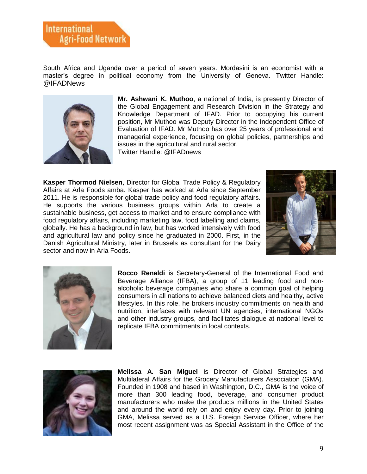South Africa and Uganda over a period of seven years. Mordasini is an economist with a master's degree in political economy from the University of Geneva. Twitter Handle: @IFADNews



**Mr. Ashwani K. Muthoo**, a national of India, is presently Director of the Global Engagement and Research Division in the Strategy and Knowledge Department of IFAD. Prior to occupying his current position, Mr Muthoo was Deputy Director in the Independent Office of Evaluation of IFAD. Mr Muthoo has over 25 years of professional and managerial experience, focusing on global policies, partnerships and issues in the agricultural and rural sector.

Twitter Handle: @IFADnews

**Kasper Thormod Nielsen**, Director for Global Trade Policy & Regulatory Affairs at Arla Foods amba. Kasper has worked at Arla since September 2011. He is responsible for global trade policy and food regulatory affairs. He supports the various business groups within Arla to create a sustainable business, get access to market and to ensure compliance with food regulatory affairs, including marketing law, food labelling and claims, globally. He has a background in law, but has worked intensively with food and agricultural law and policy since he graduated in 2000. First, in the Danish Agricultural Ministry, later in Brussels as consultant for the Dairy sector and now in Arla Foods.





**Rocco Renaldi** is Secretary-General of the International Food and Beverage Alliance (IFBA), a group of 11 leading food and nonalcoholic beverage companies who share a common goal of helping consumers in all nations to achieve balanced diets and healthy, active lifestyles. In this role, he brokers industry commitments on health and nutrition, interfaces with relevant UN agencies, international NGOs and other industry groups, and facilitates dialogue at national level to replicate IFBA commitments in local contexts.



**Melissa A. San Miguel** is Director of Global Strategies and Multilateral Affairs for the Grocery Manufacturers Association (GMA). Founded in 1908 and based in Washington, D.C., GMA is the voice of more than 300 leading food, beverage, and consumer product manufacturers who make the products millions in the United States and around the world rely on and enjoy every day. Prior to joining GMA, Melissa served as a U.S. Foreign Service Officer, where her most recent assignment was as Special Assistant in the Office of the